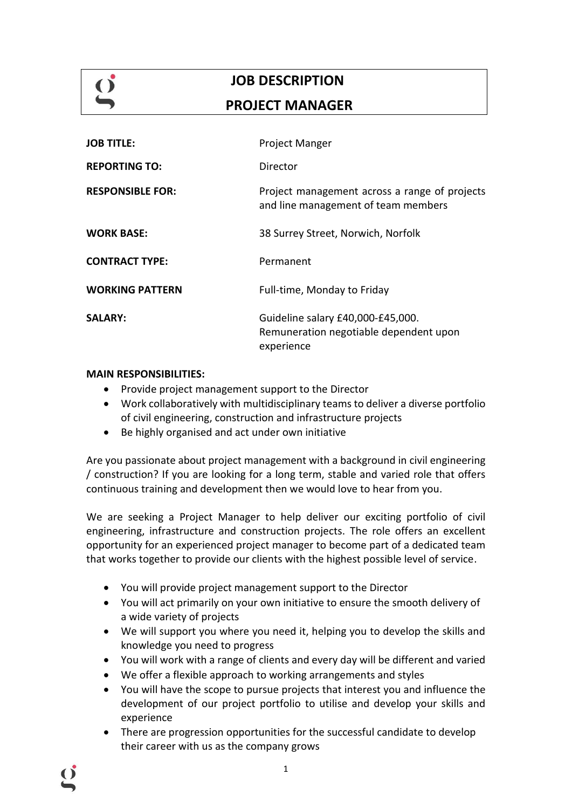# **JOB DESCRIPTION**

## **PROJECT MANAGER**

| <b>JOB TITLE:</b>       | <b>Project Manger</b>                                                                     |
|-------------------------|-------------------------------------------------------------------------------------------|
| <b>REPORTING TO:</b>    | Director                                                                                  |
| <b>RESPONSIBLE FOR:</b> | Project management across a range of projects<br>and line management of team members      |
| <b>WORK BASE:</b>       | 38 Surrey Street, Norwich, Norfolk                                                        |
| <b>CONTRACT TYPE:</b>   | Permanent                                                                                 |
| <b>WORKING PATTERN</b>  | Full-time, Monday to Friday                                                               |
| <b>SALARY:</b>          | Guideline salary £40,000-£45,000.<br>Remuneration negotiable dependent upon<br>experience |

## **MAIN RESPONSIBILITIES:**

- Provide project management support to the Director
- Work collaboratively with multidisciplinary teams to deliver a diverse portfolio of civil engineering, construction and infrastructure projects
- Be highly organised and act under own initiative

Are you passionate about project management with a background in civil engineering / construction? If you are looking for a long term, stable and varied role that offers continuous training and development then we would love to hear from you.

We are seeking a Project Manager to help deliver our exciting portfolio of civil engineering, infrastructure and construction projects. The role offers an excellent opportunity for an experienced project manager to become part of a dedicated team that works together to provide our clients with the highest possible level of service.

- You will provide project management support to the Director
- You will act primarily on your own initiative to ensure the smooth delivery of a wide variety of projects
- We will support you where you need it, helping you to develop the skills and knowledge you need to progress
- You will work with a range of clients and every day will be different and varied
- We offer a flexible approach to working arrangements and styles
- You will have the scope to pursue projects that interest you and influence the development of our project portfolio to utilise and develop your skills and experience
- There are progression opportunities for the successful candidate to develop their career with us as the company grows

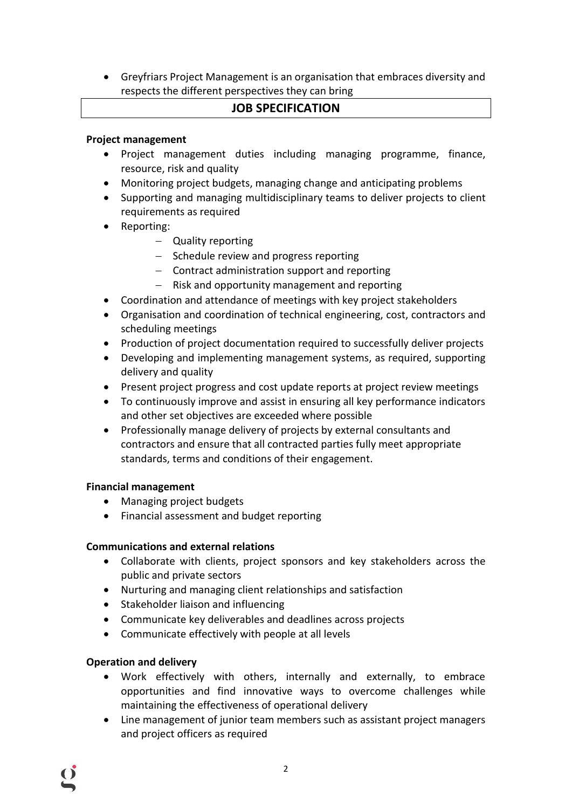• Greyfriars Project Management is an organisation that embraces diversity and respects the different perspectives they can bring

## **JOB SPECIFICATION**

## **Project management**

- Project management duties including managing programme, finance, resource, risk and quality
- Monitoring project budgets, managing change and anticipating problems
- Supporting and managing multidisciplinary teams to deliver projects to client requirements as required
- Reporting:
	- − Quality reporting
	- − Schedule review and progress reporting
	- − Contract administration support and reporting
	- − Risk and opportunity management and reporting
- Coordination and attendance of meetings with key project stakeholders
- Organisation and coordination of technical engineering, cost, contractors and scheduling meetings
- Production of project documentation required to successfully deliver projects
- Developing and implementing management systems, as required, supporting delivery and quality
- Present project progress and cost update reports at project review meetings
- To continuously improve and assist in ensuring all key performance indicators and other set objectives are exceeded where possible
- Professionally manage delivery of projects by external consultants and contractors and ensure that all contracted parties fully meet appropriate standards, terms and conditions of their engagement.

## **Financial management**

- Managing project budgets
- Financial assessment and budget reporting

#### **Communications and external relations**

- Collaborate with clients, project sponsors and key stakeholders across the public and private sectors
- Nurturing and managing client relationships and satisfaction
- Stakeholder liaison and influencing
- Communicate key deliverables and deadlines across projects
- Communicate effectively with people at all levels

## **Operation and delivery**

- Work effectively with others, internally and externally, to embrace opportunities and find innovative ways to overcome challenges while maintaining the effectiveness of operational delivery
- Line management of junior team members such as assistant project managers and project officers as required

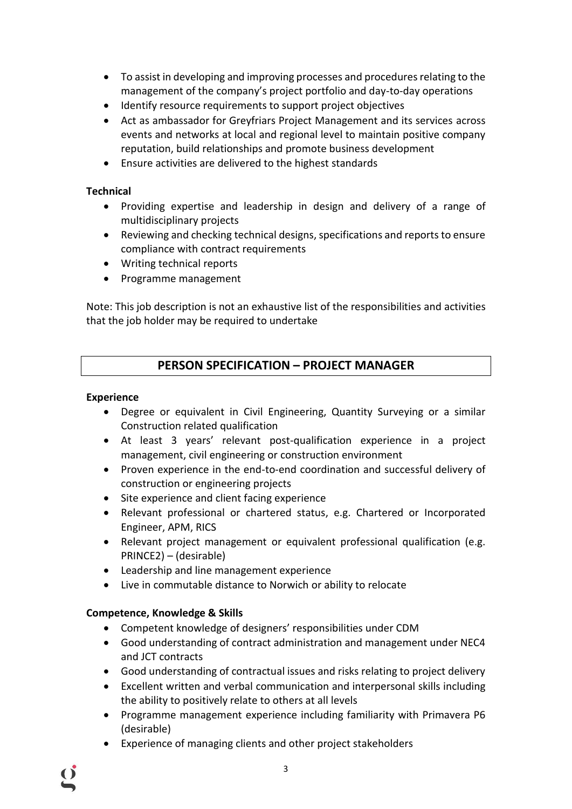- To assist in developing and improving processes and procedures relating to the management of the company's project portfolio and day-to-day operations
- Identify resource requirements to support project objectives
- Act as ambassador for Greyfriars Project Management and its services across events and networks at local and regional level to maintain positive company reputation, build relationships and promote business development
- Ensure activities are delivered to the highest standards

## **Technical**

- Providing expertise and leadership in design and delivery of a range of multidisciplinary projects
- Reviewing and checking technical designs, specifications and reports to ensure compliance with contract requirements
- Writing technical reports
- Programme management

Note: This job description is not an exhaustive list of the responsibilities and activities that the job holder may be required to undertake

## **PERSON SPECIFICATION – PROJECT MANAGER**

#### **Experience**

- Degree or equivalent in Civil Engineering, Quantity Surveying or a similar Construction related qualification
- At least 3 years' relevant post-qualification experience in a project management, civil engineering or construction environment
- Proven experience in the end-to-end coordination and successful delivery of construction or engineering projects
- Site experience and client facing experience
- Relevant professional or chartered status, e.g. Chartered or Incorporated Engineer, APM, RICS
- Relevant project management or equivalent professional qualification (e.g. PRINCE2) – (desirable)
- Leadership and line management experience
- Live in commutable distance to Norwich or ability to relocate

## **Competence, Knowledge & Skills**

- Competent knowledge of designers' responsibilities under CDM
- Good understanding of contract administration and management under NEC4 and JCT contracts
- Good understanding of contractual issues and risks relating to project delivery
- Excellent written and verbal communication and interpersonal skills including the ability to positively relate to others at all levels
- Programme management experience including familiarity with Primavera P6 (desirable)
- Experience of managing clients and other project stakeholders

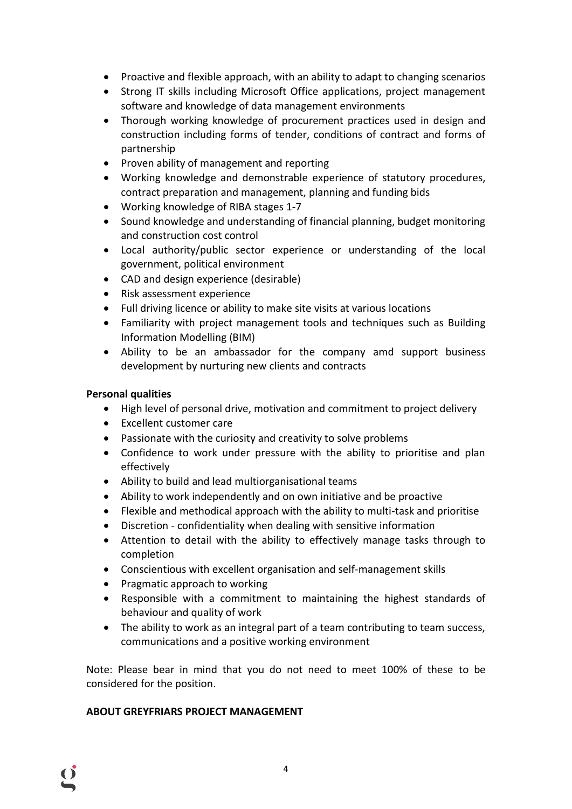- Proactive and flexible approach, with an ability to adapt to changing scenarios
- Strong IT skills including Microsoft Office applications, project management software and knowledge of data management environments
- Thorough working knowledge of procurement practices used in design and construction including forms of tender, conditions of contract and forms of partnership
- Proven ability of management and reporting
- Working knowledge and demonstrable experience of statutory procedures, contract preparation and management, planning and funding bids
- Working knowledge of RIBA stages 1-7
- Sound knowledge and understanding of financial planning, budget monitoring and construction cost control
- Local authority/public sector experience or understanding of the local government, political environment
- CAD and design experience (desirable)
- Risk assessment experience
- Full driving licence or ability to make site visits at various locations
- Familiarity with project management tools and techniques such as Building Information Modelling (BIM)
- Ability to be an ambassador for the company amd support business development by nurturing new clients and contracts

## **Personal qualities**

- High level of personal drive, motivation and commitment to project delivery
- Excellent customer care
- Passionate with the curiosity and creativity to solve problems
- Confidence to work under pressure with the ability to prioritise and plan effectively
- Ability to build and lead multiorganisational teams
- Ability to work independently and on own initiative and be proactive
- Flexible and methodical approach with the ability to multi-task and prioritise
- Discretion confidentiality when dealing with sensitive information
- Attention to detail with the ability to effectively manage tasks through to completion
- Conscientious with excellent organisation and self-management skills
- Pragmatic approach to working
- Responsible with a commitment to maintaining the highest standards of behaviour and quality of work
- The ability to work as an integral part of a team contributing to team success, communications and a positive working environment

Note: Please bear in mind that you do not need to meet 100% of these to be considered for the position.

4

#### **ABOUT GREYFRIARS PROJECT MANAGEMENT**